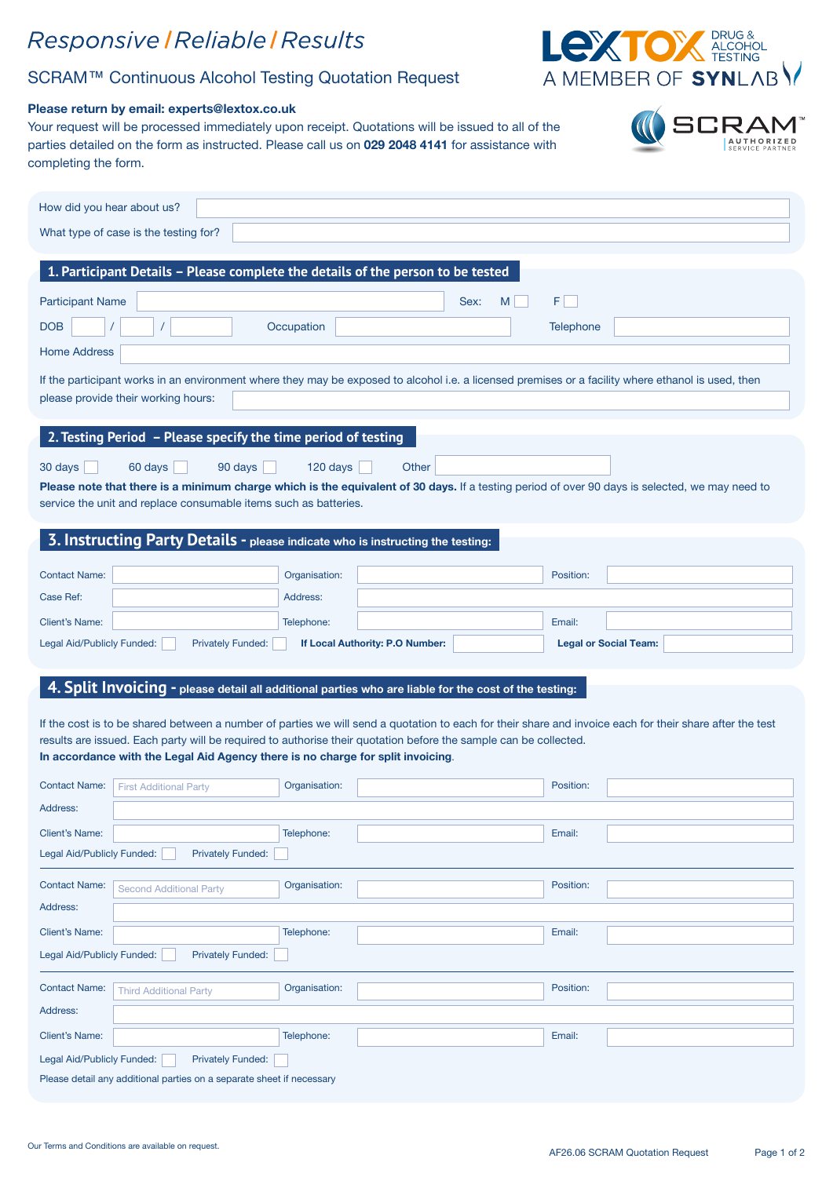## Responsive | Reliable | Results

## SCRAM™ Continuous Alcohol Testing Quotation Request

#### Please return by email: experts@lextox.co.uk

Your request will be processed immediately upon receipt. Quotations will be issued to all of the parties detailed on the form as instructed. Please call us on 029 2048 4141 for assistance with completing the form.

| How did you hear about us?                                                                                                                                                                                         |                                                                                                                  |                                                                                                                                                          |  |  |  |  |
|--------------------------------------------------------------------------------------------------------------------------------------------------------------------------------------------------------------------|------------------------------------------------------------------------------------------------------------------|----------------------------------------------------------------------------------------------------------------------------------------------------------|--|--|--|--|
| What type of case is the testing for?                                                                                                                                                                              |                                                                                                                  |                                                                                                                                                          |  |  |  |  |
|                                                                                                                                                                                                                    |                                                                                                                  |                                                                                                                                                          |  |  |  |  |
|                                                                                                                                                                                                                    | 1. Participant Details - Please complete the details of the person to be tested                                  |                                                                                                                                                          |  |  |  |  |
| <b>Participant Name</b>                                                                                                                                                                                            |                                                                                                                  | FI.<br>M<br>Sex:                                                                                                                                         |  |  |  |  |
| <b>DOB</b>                                                                                                                                                                                                         | Occupation                                                                                                       | Telephone                                                                                                                                                |  |  |  |  |
| <b>Home Address</b>                                                                                                                                                                                                |                                                                                                                  |                                                                                                                                                          |  |  |  |  |
|                                                                                                                                                                                                                    |                                                                                                                  | If the participant works in an environment where they may be exposed to alcohol i.e. a licensed premises or a facility where ethanol is used, then       |  |  |  |  |
| please provide their working hours:                                                                                                                                                                                |                                                                                                                  |                                                                                                                                                          |  |  |  |  |
|                                                                                                                                                                                                                    |                                                                                                                  |                                                                                                                                                          |  |  |  |  |
| 2. Testing Period - Please specify the time period of testing                                                                                                                                                      |                                                                                                                  |                                                                                                                                                          |  |  |  |  |
| 60 days<br>30 days<br>90 days                                                                                                                                                                                      | 120 days<br>Other                                                                                                |                                                                                                                                                          |  |  |  |  |
| Please note that there is a minimum charge which is the equivalent of 30 days. If a testing period of over 90 days is selected, we may need to<br>service the unit and replace consumable items such as batteries. |                                                                                                                  |                                                                                                                                                          |  |  |  |  |
|                                                                                                                                                                                                                    |                                                                                                                  |                                                                                                                                                          |  |  |  |  |
|                                                                                                                                                                                                                    | 3. Instructing Party Details - please indicate who is instructing the testing:                                   |                                                                                                                                                          |  |  |  |  |
| <b>Contact Name:</b>                                                                                                                                                                                               | Organisation:                                                                                                    | Position:                                                                                                                                                |  |  |  |  |
| Case Ref:                                                                                                                                                                                                          | Address:                                                                                                         |                                                                                                                                                          |  |  |  |  |
| <b>Client's Name:</b>                                                                                                                                                                                              | Telephone:                                                                                                       | Email:                                                                                                                                                   |  |  |  |  |
| Legal Aid/Publicly Funded:<br><b>Privately Funded:</b>                                                                                                                                                             | If Local Authority: P.O Number:                                                                                  | <b>Legal or Social Team:</b>                                                                                                                             |  |  |  |  |
|                                                                                                                                                                                                                    |                                                                                                                  |                                                                                                                                                          |  |  |  |  |
|                                                                                                                                                                                                                    | 4. Split Invoicing - please detail all additional parties who are liable for the cost of the testing:            |                                                                                                                                                          |  |  |  |  |
|                                                                                                                                                                                                                    |                                                                                                                  |                                                                                                                                                          |  |  |  |  |
|                                                                                                                                                                                                                    | results are issued. Each party will be required to authorise their quotation before the sample can be collected. | If the cost is to be shared between a number of parties we will send a quotation to each for their share and invoice each for their share after the test |  |  |  |  |
|                                                                                                                                                                                                                    | In accordance with the Legal Aid Agency there is no charge for split invoicing.                                  |                                                                                                                                                          |  |  |  |  |

| <b>Contact Name:</b>                                                  | <b>First Additional Party</b>  | Organisation: |  | Position: |  |  |
|-----------------------------------------------------------------------|--------------------------------|---------------|--|-----------|--|--|
| Address:                                                              |                                |               |  |           |  |  |
| <b>Client's Name:</b>                                                 |                                | Telephone:    |  | Email:    |  |  |
| Legal Aid/Publicly Funded:<br><b>Privately Funded:</b>                |                                |               |  |           |  |  |
| <b>Contact Name:</b>                                                  | <b>Second Additional Party</b> | Organisation: |  | Position: |  |  |
| Address:                                                              |                                |               |  |           |  |  |
| <b>Client's Name:</b>                                                 |                                | Telephone:    |  | Email:    |  |  |
| <b>Privately Funded:</b><br>Legal Aid/Publicly Funded:                |                                |               |  |           |  |  |
| <b>Contact Name:</b>                                                  | <b>Third Additional Party</b>  | Organisation: |  | Position: |  |  |
| Address:                                                              |                                |               |  |           |  |  |
| <b>Client's Name:</b>                                                 |                                | Telephone:    |  | Email:    |  |  |
| <b>Privately Funded:</b><br>Legal Aid/Publicly Funded:                |                                |               |  |           |  |  |
| Please detail any additional parties on a separate sheet if necessary |                                |               |  |           |  |  |



**SCRAM** 

CO